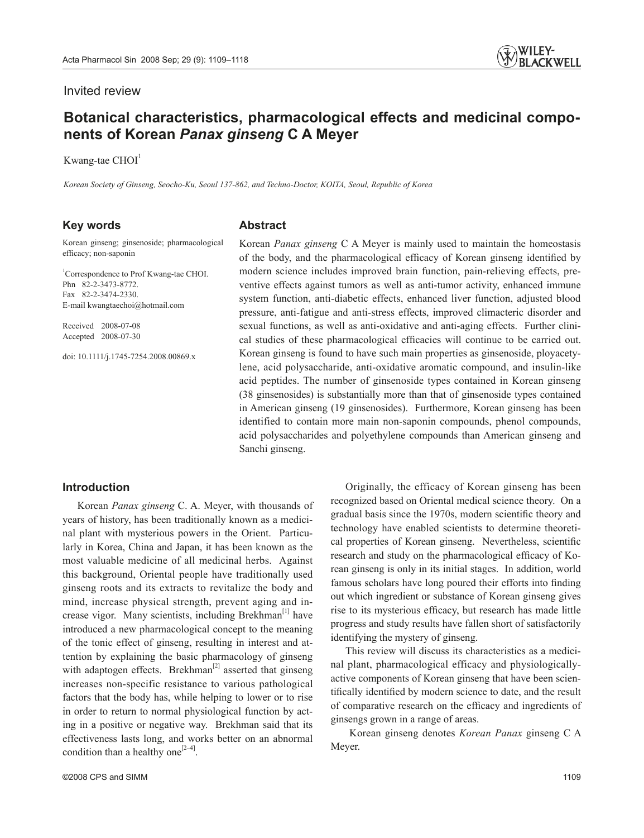## Invited review

# **Botanical characteristics, pharmacological effects and medicinal components of Korean** *Panax ginseng* **C A Meyer**

Kwang-tae  $CHOI<sup>1</sup>$ 

*Korean Society of Ginseng, Seocho-Ku, Seoul 137-862, and Techno-Doctor, KOITA, Seoul, Republic of Korea*

# **Key words**

Korean ginseng; ginsenoside; pharmacological efficacy; non-saponin

1 Correspondence to Prof Kwang-tae CHOI. Phn 82-2-3473-8772. Fax 82-2-3474-2330. E-mail kwangtaechoi@hotmail.com

Received 2008-07-08 Accepted 2008-07-30

doi: 10.1111/j.1745-7254.2008.00869.x

#### **Abstract**

Korean *Panax ginseng* C A Meyer is mainly used to maintain the homeostasis of the body, and the pharmacological efficacy of Korean ginseng identified by modern science includes improved brain function, pain-relieving effects, preventive effects against tumors as well as anti-tumor activity, enhanced immune system function, anti-diabetic effects, enhanced liver function, adjusted blood pressure, anti-fatigue and anti-stress effects, improved climacteric disorder and sexual functions, as well as anti-oxidative and anti-aging effects. Further clinical studies of these pharmacological efficacies will continue to be carried out. Korean ginseng is found to have such main properties as ginsenoside, ployacetylene, acid polysaccharide, anti-oxidative aromatic compound, and insulin-like acid peptides. The number of ginsenoside types contained in Korean ginseng (38 ginsenosides) is substantially more than that of ginsenoside types contained in American ginseng (19 ginsenosides). Furthermore, Korean ginseng has been identified to contain more main non-saponin compounds, phenol compounds, acid polysaccharides and polyethylene compounds than American ginseng and Sanchi ginseng.

#### **Introduction**

Korean *Panax ginseng* C. A. Meyer, with thousands of years of history, has been traditionally known as a medicinal plant with mysterious powers in the Orient. Particularly in Korea, China and Japan, it has been known as the most valuable medicine of all medicinal herbs. Against this background, Oriental people have traditionally used ginseng roots and its extracts to revitalize the body and mind, increase physical strength, prevent aging and increase vigor. Many scientists, including Brekhman<sup>[1]</sup> have introduced a new pharmacological concept to the meaning of the tonic effect of ginseng, resulting in interest and attention by explaining the basic pharmacology of ginseng with adaptogen effects. Brekhman<sup>[2]</sup> asserted that ginseng increases non-specific resistance to various pathological factors that the body has, while helping to lower or to rise in order to return to normal physiological function by acting in a positive or negative way. Brekhman said that its effectiveness lasts long, and works better on an abnormal condition than a healthy one<sup>[2–4]</sup>.

Originally, the efficacy of Korean ginseng has been recognized based on Oriental medical science theory. On a gradual basis since the 1970s, modern scientific theory and technology have enabled scientists to determine theoretical properties of Korean ginseng. Nevertheless, scientific research and study on the pharmacological efficacy of Korean ginseng is only in its initial stages. In addition, world famous scholars have long poured their efforts into finding out which ingredient or substance of Korean ginseng gives rise to its mysterious efficacy, but research has made little progress and study results have fallen short of satisfactorily identifying the mystery of ginseng.

This review will discuss its characteristics as a medicinal plant, pharmacological efficacy and physiologicallyactive components of Korean ginseng that have been scientifically identified by modern science to date, and the result of comparative research on the efficacy and ingredients of ginsengs grown in a range of areas.

Korean ginseng denotes *Korean Panax* ginseng C A Meyer.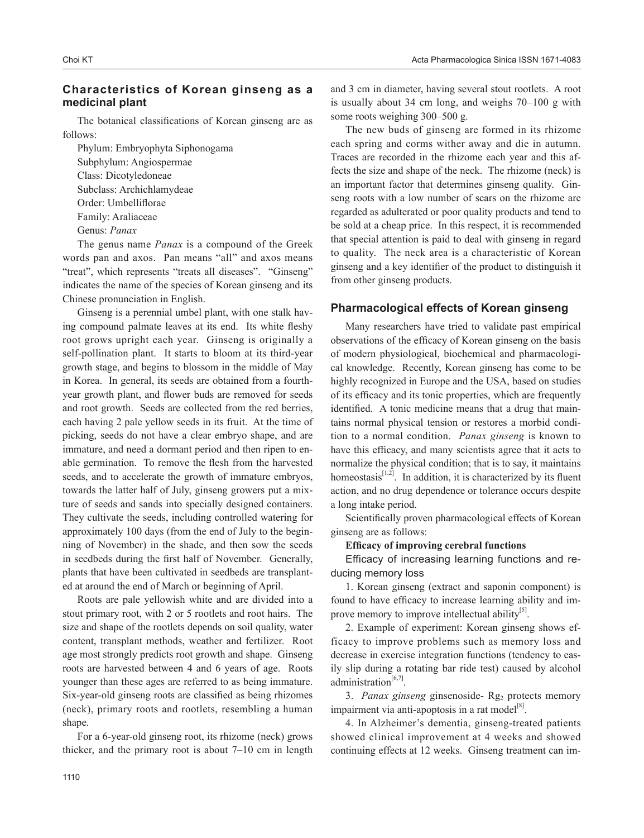# **Characteristics of Korean ginseng as a medicinal plant**

The botanical classifications of Korean ginseng are as follows:

Phylum: Embryophyta Siphonogama Subphylum: Angiospermae Class: Dicotyledoneae Subclass: Archichlamydeae Order: Umbelliflorae Family: Araliaceae Genus: *Panax*

The genus name *Panax* is a compound of the Greek words pan and axos. Pan means "all" and axos means "treat", which represents "treats all diseases". "Ginseng" indicates the name of the species of Korean ginseng and its Chinese pronunciation in English.

Ginseng is a perennial umbel plant, with one stalk having compound palmate leaves at its end. Its white fleshy root grows upright each year. Ginseng is originally a self-pollination plant. It starts to bloom at its third-year growth stage, and begins to blossom in the middle of May in Korea. In general, its seeds are obtained from a fourthyear growth plant, and flower buds are removed for seeds and root growth. Seeds are collected from the red berries, each having 2 pale yellow seeds in its fruit. At the time of picking, seeds do not have a clear embryo shape, and are immature, and need a dormant period and then ripen to enable germination. To remove the flesh from the harvested seeds, and to accelerate the growth of immature embryos, towards the latter half of July, ginseng growers put a mixture of seeds and sands into specially designed containers. They cultivate the seeds, including controlled watering for approximately 100 days (from the end of July to the beginning of November) in the shade, and then sow the seeds in seedbeds during the first half of November. Generally, plants that have been cultivated in seedbeds are transplanted at around the end of March or beginning of April.

Roots are pale yellowish white and are divided into a stout primary root, with 2 or 5 rootlets and root hairs. The size and shape of the rootlets depends on soil quality, water content, transplant methods, weather and fertilizer. Root age most strongly predicts root growth and shape. Ginseng roots are harvested between 4 and 6 years of age. Roots younger than these ages are referred to as being immature. Six-year-old ginseng roots are classified as being rhizomes (neck), primary roots and rootlets, resembling a human shape.

For a 6-year-old ginseng root, its rhizome (neck) grows thicker, and the primary root is about 7–10 cm in length and 3 cm in diameter, having several stout rootlets. A root is usually about 34 cm long, and weighs 70–100 g with some roots weighing 300–500 g.

The new buds of ginseng are formed in its rhizome each spring and corms wither away and die in autumn. Traces are recorded in the rhizome each year and this affects the size and shape of the neck. The rhizome (neck) is an important factor that determines ginseng quality. Ginseng roots with a low number of scars on the rhizome are regarded as adulterated or poor quality products and tend to be sold at a cheap price. In this respect, it is recommended that special attention is paid to deal with ginseng in regard to quality. The neck area is a characteristic of Korean ginseng and a key identifier of the product to distinguish it from other ginseng products.

# **Pharmacological effects of Korean ginseng**

Many researchers have tried to validate past empirical observations of the efficacy of Korean ginseng on the basis of modern physiological, biochemical and pharmacological knowledge. Recently, Korean ginseng has come to be highly recognized in Europe and the USA, based on studies of its efficacy and its tonic properties, which are frequently identified. A tonic medicine means that a drug that maintains normal physical tension or restores a morbid condition to a normal condition. *Panax ginseng* is known to have this efficacy, and many scientists agree that it acts to normalize the physical condition; that is to say, it maintains homeostasis $[1,2]$ . In addition, it is characterized by its fluent action, and no drug dependence or tolerance occurs despite a long intake period.

Scientifically proven pharmacological effects of Korean ginseng are as follows:

#### **Efficacy of improving cerebral functions**

Efficacy of increasing learning functions and reducing memory loss

1. Korean ginseng (extract and saponin component) is found to have efficacy to increase learning ability and improve memory to improve intellectual ability $[5]$ .

2. Example of experiment: Korean ginseng shows efficacy to improve problems such as memory loss and decrease in exercise integration functions (tendency to easily slip during a rotating bar ride test) caused by alcohol administration<sup>[6,7]</sup>.

3. *Panax ginseng* ginsenoside- Rg2 protects memory impairment via anti-apoptosis in a rat model<sup>[8]</sup>.

4. In Alzheimer's dementia, ginseng-treated patients showed clinical improvement at 4 weeks and showed continuing effects at 12 weeks. Ginseng treatment can im-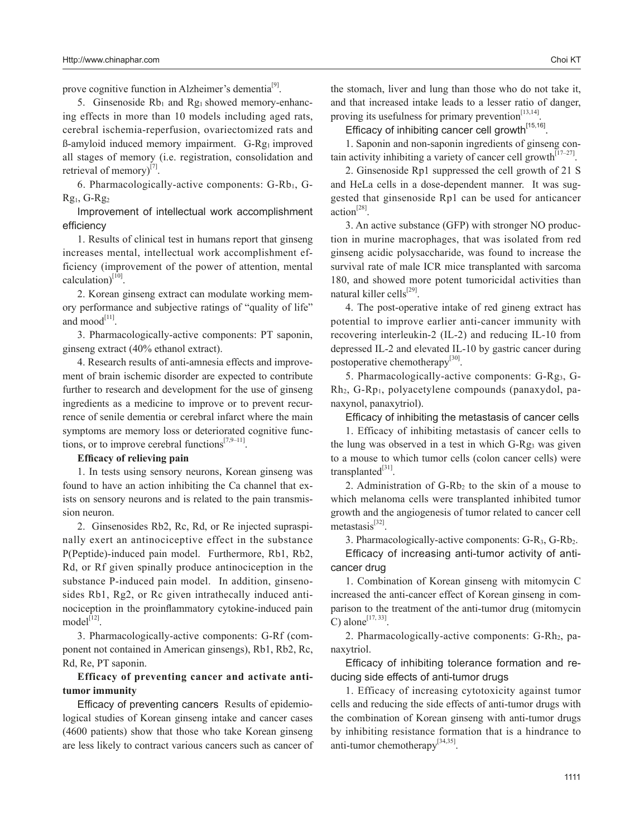prove cognitive function in Alzheimer's dementia<sup>[9]</sup>.

5. Ginsenoside  $Rb_1$  and  $Rg_1$  showed memory-enhancing effects in more than 10 models including aged rats, cerebral ischemia-reperfusion, ovariectomized rats and ß-amyloid induced memory impairment. G-Rg1 improved all stages of memory (i.e. registration, consolidation and retrieval of memory $)^{[7]}$ .

6. Pharmacologically-active components: G-Rb1, G- $Rg_1$ , G- $Rg_2$ 

Improvement of intellectual work accomplishment efficiency

1. Results of clinical test in humans report that ginseng increases mental, intellectual work accomplishment efficiency (improvement of the power of attention, mental calculation) $^{[10]}$ .

2. Korean ginseng extract can modulate working memory performance and subjective ratings of "quality of life" and mood $^{[11]}$ .

3. Pharmacologically-active components: PT saponin, ginseng extract (40% ethanol extract).

4. Research results of anti-amnesia effects and improvement of brain ischemic disorder are expected to contribute further to research and development for the use of ginseng ingredients as a medicine to improve or to prevent recurrence of senile dementia or cerebral infarct where the main symptoms are memory loss or deteriorated cognitive functions, or to improve cerebral functions $[7,9-11]$ .

## **Efficacy of relieving pain**

1. In tests using sensory neurons, Korean ginseng was found to have an action inhibiting the Ca channel that exists on sensory neurons and is related to the pain transmission neuron.

2. Ginsenosides Rb2, Rc, Rd, or Re injected supraspinally exert an antinociceptive effect in the substance P(Peptide)-induced pain model. Furthermore, Rb1, Rb2, Rd, or Rf given spinally produce antinociception in the substance P-induced pain model. In addition, ginsenosides Rb1, Rg2, or Rc given intrathecally induced antinociception in the proinflammatory cytokine-induced pain model<sup>[12]</sup>.

3. Pharmacologically-active components: G-Rf (component not contained in American ginsengs), Rb1, Rb2, Rc, Rd, Re, PT saponin.

# **Efficacy of preventing cancer and activate antitumor immunity**

Efficacy of preventing cancersResults of epidemiological studies of Korean ginseng intake and cancer cases (4600 patients) show that those who take Korean ginseng are less likely to contract various cancers such as cancer of the stomach, liver and lung than those who do not take it, and that increased intake leads to a lesser ratio of danger, proving its usefulness for primary prevention $^{[13,14]}$ .

Efficacy of inhibiting cancer cell growth<sup>[15,16]</sup>.

1. Saponin and non-saponin ingredients of ginseng contain activity inhibiting a variety of cancer cell growth $\int_1^{[17-27]}$ .

2. Ginsenoside Rp1 suppressed the cell growth of 21 S and HeLa cells in a dose-dependent manner. It was suggested that ginsenoside Rp1 can be used for anticancer action<sup>[28]</sup>.

3. An active substance (GFP) with stronger NO production in murine macrophages, that was isolated from red ginseng acidic polysaccharide, was found to increase the survival rate of male ICR mice transplanted with sarcoma 180, and showed more potent tumoricidal activities than natural killer cells $^{[29]}$ .

4. The post-operative intake of red gineng extract has potential to improve earlier anti-cancer immunity with recovering interleukin-2 (IL-2) and reducing IL-10 from depressed IL-2 and elevated IL-10 by gastric cancer during postoperative chemotherapy<sup>[30]</sup>.

5. Pharmacologically-active components: G-Rg3, G-Rh2, G-Rp1, polyacetylene compounds (panaxydol, panaxynol, panaxytriol).

Efficacy of inhibiting the metastasis of cancer cells

1. Efficacy of inhibiting metastasis of cancer cells to the lung was observed in a test in which G-Rg3 was given to a mouse to which tumor cells (colon cancer cells) were transplanted $[31]$ .

2. Administration of G-Rb2 to the skin of a mouse to which melanoma cells were transplanted inhibited tumor growth and the angiogenesis of tumor related to cancer cell metastasis $^{[32]}$ .

3. Pharmacologically-active components: G-R3, G-Rb2.

Efficacy of increasing anti-tumor activity of anticancer drug

1. Combination of Korean ginseng with mitomycin C increased the anti-cancer effect of Korean ginseng in comparison to the treatment of the anti-tumor drug (mitomycin C) alone $[17, 33]$ .

2. Pharmacologically-active components: G-Rh<sub>2</sub>, panaxytriol.

Efficacy of inhibiting tolerance formation and reducing side effects of anti-tumor drugs

1. Efficacy of increasing cytotoxicity against tumor cells and reducing the side effects of anti-tumor drugs with the combination of Korean ginseng with anti-tumor drugs by inhibiting resistance formation that is a hindrance to anti-tumor chemotherapy $^{[34,35]}$ .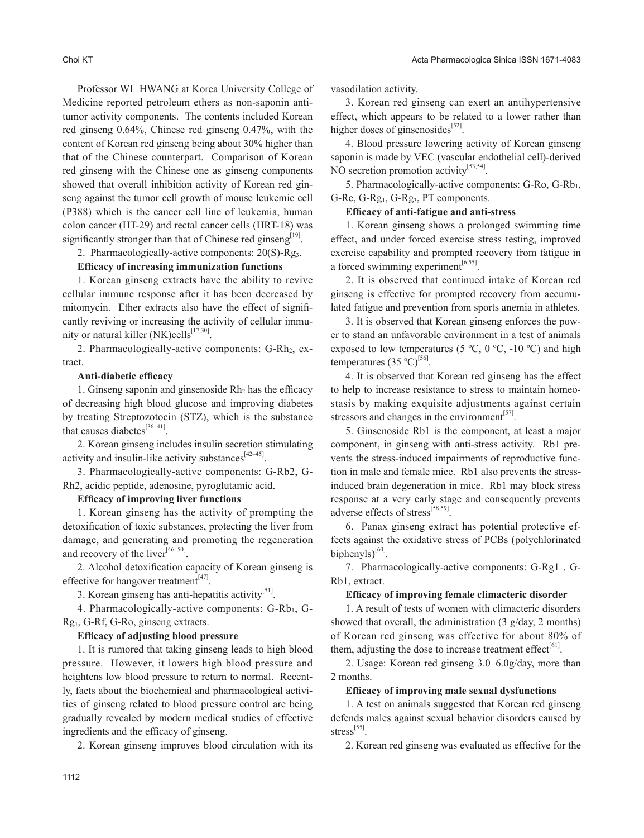Professor WI HWANG at Korea University College of Medicine reported petroleum ethers as non-saponin antitumor activity components. The contents included Korean red ginseng 0.64%, Chinese red ginseng 0.47%, with the content of Korean red ginseng being about 30% higher than that of the Chinese counterpart. Comparison of Korean red ginseng with the Chinese one as ginseng components showed that overall inhibition activity of Korean red ginseng against the tumor cell growth of mouse leukemic cell (P388) which is the cancer cell line of leukemia, human colon cancer (HT-29) and rectal cancer cells (HRT-18) was significantly stronger than that of Chinese red ginseng<sup>[19]</sup>.

2. Pharmacologically-active components: 20(S)-Rg3.

# **Efficacy of increasing immunization functions**

1. Korean ginseng extracts have the ability to revive cellular immune response after it has been decreased by mitomycin. Ether extracts also have the effect of significantly reviving or increasing the activity of cellular immunity or natural killer (NK)cells<sup>[17,30]</sup>.

2. Pharmacologically-active components: G-Rh<sub>2</sub>, extract.

#### **Anti-diabetic efficacy**

1. Ginseng saponin and ginsenoside  $Rh<sub>2</sub>$  has the efficacy of decreasing high blood glucose and improving diabetes by treating Streptozotocin (STZ), which is the substance that causes diabetes<sup>[36-41]</sup>.

2. Korean ginseng includes insulin secretion stimulating activity and insulin-like activity substances $[42-45]$ .

3. Pharmacologically-active components: G-Rb2, G-Rh2, acidic peptide, adenosine, pyroglutamic acid.

#### **Efficacy of improving liver functions**

1. Korean ginseng has the activity of prompting the detoxification of toxic substances, protecting the liver from damage, and generating and promoting the regeneration and recovery of the liver<sup>[46-50]</sup>.

2. Alcohol detoxification capacity of Korean ginseng is effective for hangover treatment $[47]$ .

3. Korean ginseng has anti-hepatitis activity<sup>[51]</sup>.

4. Pharmacologically-active components: G-Rb<sub>1</sub>, G-Rg1, G-Rf, G-Ro, ginseng extracts.

#### **Efficacy of adjusting blood pressure**

1. It is rumored that taking ginseng leads to high blood pressure. However, it lowers high blood pressure and heightens low blood pressure to return to normal. Recently, facts about the biochemical and pharmacological activities of ginseng related to blood pressure control are being gradually revealed by modern medical studies of effective ingredients and the efficacy of ginseng.

2. Korean ginseng improves blood circulation with its

Choi KT Choi KT Choi KT Acta Pharmacologica Sinica ISSN 1671-4083

vasodilation activity.

3. Korean red ginseng can exert an antihypertensive effect, which appears to be related to a lower rather than higher doses of ginsenosides $[52]$ .

4. Blood pressure lowering activity of Korean ginseng saponin is made by VEC (vascular endothelial cell)-derived NO secretion promotion activity<sup>[53,54]</sup>.

5. Pharmacologically-active components: G-Ro, G-Rb1, G-Re, G-Rg1, G-Rg3, PT components.

#### **Efficacy of anti-fatigue and anti-stress**

1. Korean ginseng shows a prolonged swimming time effect, and under forced exercise stress testing, improved exercise capability and prompted recovery from fatigue in a forced swimming experiment $[6,55]$ .

2. It is observed that continued intake of Korean red ginseng is effective for prompted recovery from accumulated fatigue and prevention from sports anemia in athletes.

3. It is observed that Korean ginseng enforces the power to stand an unfavorable environment in a test of animals exposed to low temperatures (5 °C, 0 °C, -10 °C) and high temperatures  $(35 \text{ °C})^{[56]}$ .

4. It is observed that Korean red ginseng has the effect to help to increase resistance to stress to maintain homeostasis by making exquisite adjustments against certain stressors and changes in the environment<sup>[57]</sup>.

5. Ginsenoside Rb1 is the component, at least a major component, in ginseng with anti-stress activity. Rb1 prevents the stress-induced impairments of reproductive function in male and female mice. Rb1 also prevents the stressinduced brain degeneration in mice. Rb1 may block stress response at a very early stage and consequently prevents adverse effects of stress<sup>[58,59]</sup>.

6. Panax ginseng extract has potential protective effects against the oxidative stress of PCBs (polychlorinated biphenyls $)^{[60]}$ .

7. Pharmacologically-active components: G-Rg1 , G-Rb1, extract.

#### **Efficacy of improving female climacteric disorder**

1. A result of tests of women with climacteric disorders showed that overall, the administration (3 g/day, 2 months) of Korean red ginseng was effective for about 80% of them, adjusting the dose to increase treatment effect<sup>[61]</sup>.

2. Usage: Korean red ginseng 3.0–6.0g/day, more than 2 months.

### **Efficacy of improving male sexual dysfunctions**

1. A test on animals suggested that Korean red ginseng defends males against sexual behavior disorders caused by stress<sup>[55]</sup>.

2. Korean red ginseng was evaluated as effective for the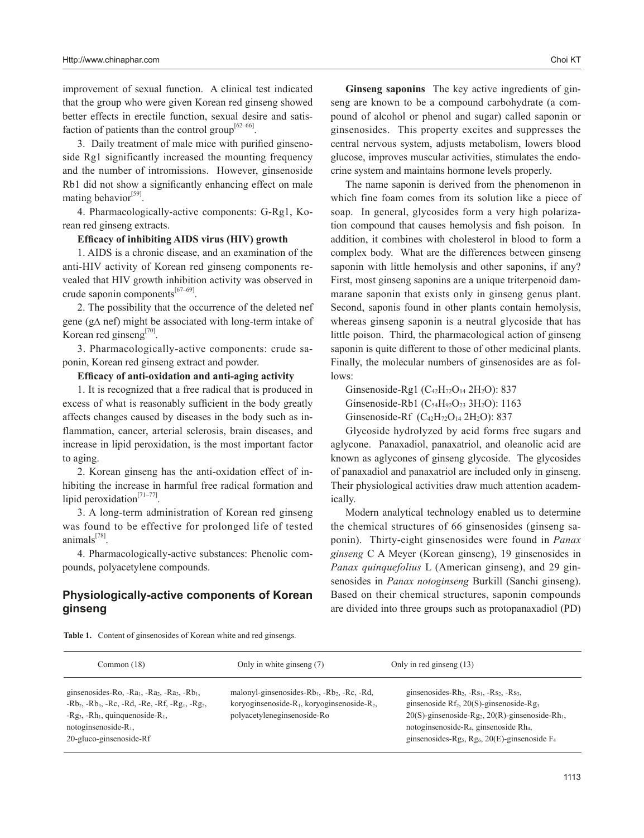improvement of sexual function. A clinical test indicated that the group who were given Korean red ginseng showed better effects in erectile function, sexual desire and satisfaction of patients than the control group<sup>[62–66]</sup>.

3. Daily treatment of male mice with purified ginsenoside Rg1 significantly increased the mounting frequency and the number of intromissions. However, ginsenoside Rb1 did not show a significantly enhancing effect on male mating behavior $^{[59]}$ .

4. Pharmacologically-active components: G-Rg1, Korean red ginseng extracts.

#### **Efficacy of inhibiting AIDS virus (HIV) growth**

1. AIDS is a chronic disease, and an examination of the anti-HIV activity of Korean red ginseng components revealed that HIV growth inhibition activity was observed in crude saponin components $[67-69]$ .

2. The possibility that the occurrence of the deleted nef gene (g∆ nef) might be associated with long-term intake of Korean red ginseng<sup>[70]</sup>.

3. Pharmacologically-active components: crude saponin, Korean red ginseng extract and powder.

#### **Efficacy of anti-oxidation and anti-aging activity**

1. It is recognized that a free radical that is produced in excess of what is reasonably sufficient in the body greatly affects changes caused by diseases in the body such as inflammation, cancer, arterial sclerosis, brain diseases, and increase in lipid peroxidation, is the most important factor to aging.

2. Korean ginseng has the anti-oxidation effect of inhibiting the increase in harmful free radical formation and lipid peroxidation<sup>[71-77]</sup>.

3. A long-term administration of Korean red ginseng was found to be effective for prolonged life of tested animals[78].

4. Pharmacologically-active substances: Phenolic compounds, polyacetylene compounds.

# **Physiologically-active components of Korean ginseng**

**Ginseng saponins** The key active ingredients of ginseng are known to be a compound carbohydrate (a compound of alcohol or phenol and sugar) called saponin or ginsenosides. This property excites and suppresses the central nervous system, adjusts metabolism, lowers blood glucose, improves muscular activities, stimulates the endocrine system and maintains hormone levels properly.

The name saponin is derived from the phenomenon in which fine foam comes from its solution like a piece of soap. In general, glycosides form a very high polarization compound that causes hemolysis and fish poison. In addition, it combines with cholesterol in blood to form a complex body. What are the differences between ginseng saponin with little hemolysis and other saponins, if any? First, most ginseng saponins are a unique triterpenoid dammarane saponin that exists only in ginseng genus plant. Second, saponis found in other plants contain hemolysis, whereas ginseng saponin is a neutral glycoside that has little poison. Third, the pharmacological action of ginseng saponin is quite different to those of other medicinal plants. Finally, the molecular numbers of ginsenosides are as follows:

Ginsenoside-Rg1 (C<sub>42</sub>H<sub>72</sub>O<sub>14</sub> 2H<sub>2</sub>O): 837 Ginsenoside-Rb1 (C<sub>54</sub>H<sub>92</sub>O<sub>23</sub> 3H<sub>2</sub>O): 1163 Ginsenoside-Rf (C<sub>42</sub>H<sub>72</sub>O<sub>14</sub> 2H<sub>2</sub>O): 837

Glycoside hydrolyzed by acid forms free sugars and aglycone. Panaxadiol, panaxatriol, and oleanolic acid are known as aglycones of ginseng glycoside. The glycosides of panaxadiol and panaxatriol are included only in ginseng. Their physiological activities draw much attention academically.

Modern analytical technology enabled us to determine the chemical structures of 66 ginsenosides (ginseng saponin). Thirty-eight ginsenosides were found in *Panax ginseng* C A Meyer (Korean ginseng), 19 ginsenosides in *Panax quinquefolius* L (American ginseng), and 29 ginsenosides in *Panax notoginseng* Burkill (Sanchi ginseng). Based on their chemical structures, saponin compounds are divided into three groups such as protopanaxadiol (PD)

**Table 1.** Content of ginsenosides of Korean white and red ginsengs.

| Common $(18)$                                                                                                                                                                                                                                                                                 | Only in white ginseng (7)                                                                                                                                 | Only in red ginseng (13)                                                                                                                                                                                                                                                                                             |
|-----------------------------------------------------------------------------------------------------------------------------------------------------------------------------------------------------------------------------------------------------------------------------------------------|-----------------------------------------------------------------------------------------------------------------------------------------------------------|----------------------------------------------------------------------------------------------------------------------------------------------------------------------------------------------------------------------------------------------------------------------------------------------------------------------|
| ginsenosides-Ro, -Ra <sub>1</sub> , -Ra <sub>2</sub> , -Ra <sub>3</sub> , -Rb <sub>1</sub> ,<br>$-Rb_2$ , $-Rb_3$ , $-Rc$ , $-Rd$ , $-Re$ , $-Rf$ , $-Rg_1$ , $-Rg_2$ ,<br>$-Rg_3$ , -Rh <sub>1</sub> , quinquenoside-R <sub>1</sub> ,<br>notoginsenoside- $R_1$ ,<br>20-gluco-ginsenoside-Rf | malonyl-ginsenosides-Rb <sub>1</sub> , -Rb <sub>2</sub> , -Rc, -Rd,<br>koryoginsenoside- $R_1$ , koryoginsenoside- $R_2$ ,<br>polyacetyleneginsenoside-Ro | ginsenosides- $Rh_2$ , $-Rs_1$ , $-Rs_2$ , $-Rs_3$ ,<br>ginsenoside $Rf_2$ , 20(S)-ginsenoside- $Rg_3$<br>$20(S)$ -ginsenoside-Rg <sub>2</sub> , $20(R)$ -ginsenoside-Rh <sub>1</sub> ,<br>notoginsenoside-R <sub>4</sub> , ginsenoside Rh <sub>4</sub> ,<br>ginsenosides- $Rg_5$ , $Rg_6$ , 20(E)-ginsenoside $F_4$ |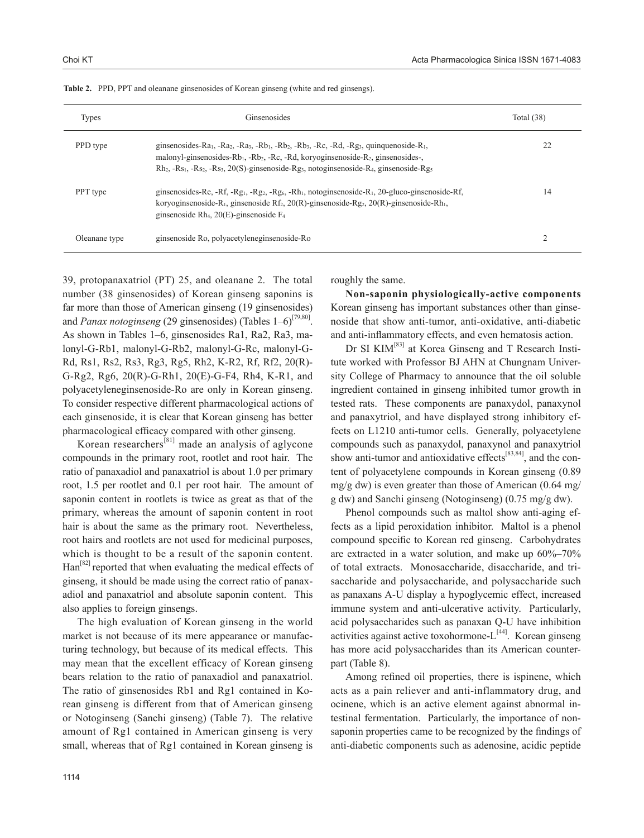| <b>Types</b>  | Ginsenosides                                                                                                                                                                                                                                                                                                                                                                                                                                                                           | Total $(38)$ |
|---------------|----------------------------------------------------------------------------------------------------------------------------------------------------------------------------------------------------------------------------------------------------------------------------------------------------------------------------------------------------------------------------------------------------------------------------------------------------------------------------------------|--------------|
| PPD type      | ginsenosides-Ra <sub>1</sub> , -Ra <sub>2</sub> , -Ra <sub>3</sub> , -Rb <sub>1</sub> , -Rb <sub>2</sub> , -Rb <sub>3</sub> , -Rc, -Rd, -Rg <sub>3</sub> , quinquenoside-R <sub>1</sub> ,<br>malonyl-ginsenosides-Rb <sub>1</sub> , -Rb <sub>2</sub> , -Rc, -Rd, koryoginsenoside-R <sub>2</sub> , ginsenosides-<br>$Rh_2$ , -Rs <sub>1</sub> , -Rs <sub>2</sub> , -Rs <sub>3</sub> , 20(S)-ginsenoside-Rg <sub>3</sub> , notoginsenoside-R <sub>4</sub> , ginsenoside-Rg <sub>5</sub> | 22           |
| PPT type      | ginsenosides-Re, -Rf, -Rg <sub>1</sub> , -Rg <sub>2</sub> , -Rg <sub>6</sub> , -Rh <sub>1</sub> , notoginsenoside-R <sub>1</sub> , 20-gluco-ginsenoside-Rf,<br>koryoginsenoside-R <sub>1</sub> , ginsenoside Rf <sub>2</sub> , 20(R)-ginsenoside-Rg <sub>2</sub> , 20(R)-ginsenoside-Rh <sub>1</sub> ,<br>ginsenoside Rh <sub>4</sub> , 20 $(E)$ -ginsenoside F <sub>4</sub>                                                                                                           | 14           |
| Oleanane type | ginsenoside Ro, polyacetyleneginsenoside-Ro                                                                                                                                                                                                                                                                                                                                                                                                                                            | 2            |

**Table 2.** PPD, PPT and oleanane ginsenosides of Korean ginseng (white and red ginsengs).

39, protopanaxatriol (PT) 25, and oleanane 2. The total number (38 ginsenosides) of Korean ginseng saponins is far more than those of American ginseng (19 ginsenosides) and *Panax notoginseng* (29 ginsenosides) (Tables 1–6)<sup>[79,80]</sup>. As shown in Tables 1–6, ginsenosides Ra1, Ra2, Ra3, malonyl-G-Rb1, malonyl-G-Rb2, malonyl-G-Rc, malonyl-G-Rd, Rs1, Rs2, Rs3, Rg3, Rg5, Rh2, K-R2, Rf, Rf2, 20(R)- G-Rg2, Rg6, 20(R)-G-Rh1, 20(E)-G-F4, Rh4, K-R1, and polyacetyleneginsenoside-Ro are only in Korean ginseng. To consider respective different pharmacological actions of each ginsenoside, it is clear that Korean ginseng has better pharmacological efficacy compared with other ginseng.

Korean researchers $^{[81]}$  made an analysis of aglycone compounds in the primary root, rootlet and root hair. The ratio of panaxadiol and panaxatriol is about 1.0 per primary root, 1.5 per rootlet and 0.1 per root hair. The amount of saponin content in rootlets is twice as great as that of the primary, whereas the amount of saponin content in root hair is about the same as the primary root. Nevertheless, root hairs and rootlets are not used for medicinal purposes, which is thought to be a result of the saponin content. Han<sup>[82]</sup> reported that when evaluating the medical effects of ginseng, it should be made using the correct ratio of panaxadiol and panaxatriol and absolute saponin content. This also applies to foreign ginsengs.

The high evaluation of Korean ginseng in the world market is not because of its mere appearance or manufacturing technology, but because of its medical effects. This may mean that the excellent efficacy of Korean ginseng bears relation to the ratio of panaxadiol and panaxatriol. The ratio of ginsenosides Rb1 and Rg1 contained in Korean ginseng is different from that of American ginseng or Notoginseng (Sanchi ginseng) (Table 7). The relative amount of Rg1 contained in American ginseng is very small, whereas that of Rg1 contained in Korean ginseng is roughly the same.

**Non-saponin physiologically-active components** Korean ginseng has important substances other than ginsenoside that show anti-tumor, anti-oxidative, anti-diabetic and anti-inflammatory effects, and even hematosis action.

Dr SI KIM<sup>[83]</sup> at Korea Ginseng and T Research Institute worked with Professor BJ AHN at Chungnam University College of Pharmacy to announce that the oil soluble ingredient contained in ginseng inhibited tumor growth in tested rats. These components are panaxydol, panaxynol and panaxytriol, and have displayed strong inhibitory effects on L1210 anti-tumor cells. Generally, polyacetylene compounds such as panaxydol, panaxynol and panaxytriol show anti-tumor and antioxidative effects $[83,84]$ , and the content of polyacetylene compounds in Korean ginseng (0.89 mg/g dw) is even greater than those of American (0.64 mg/ g dw) and Sanchi ginseng (Notoginseng) (0.75 mg/g dw).

Phenol compounds such as maltol show anti-aging effects as a lipid peroxidation inhibitor. Maltol is a phenol compound specific to Korean red ginseng. Carbohydrates are extracted in a water solution, and make up 60%–70% of total extracts. Monosaccharide, disaccharide, and trisaccharide and polysaccharide, and polysaccharide such as panaxans A-U display a hypoglycemic effect, increased immune system and anti-ulcerative activity. Particularly, acid polysaccharides such as panaxan Q-U have inhibition activities against active toxohormone- $L^{[44]}$ . Korean ginseng has more acid polysaccharides than its American counterpart (Table 8).

Among refined oil properties, there is ispinene, which acts as a pain reliever and anti-inflammatory drug, and ocinene, which is an active element against abnormal intestinal fermentation. Particularly, the importance of nonsaponin properties came to be recognized by the findings of anti-diabetic components such as adenosine, acidic peptide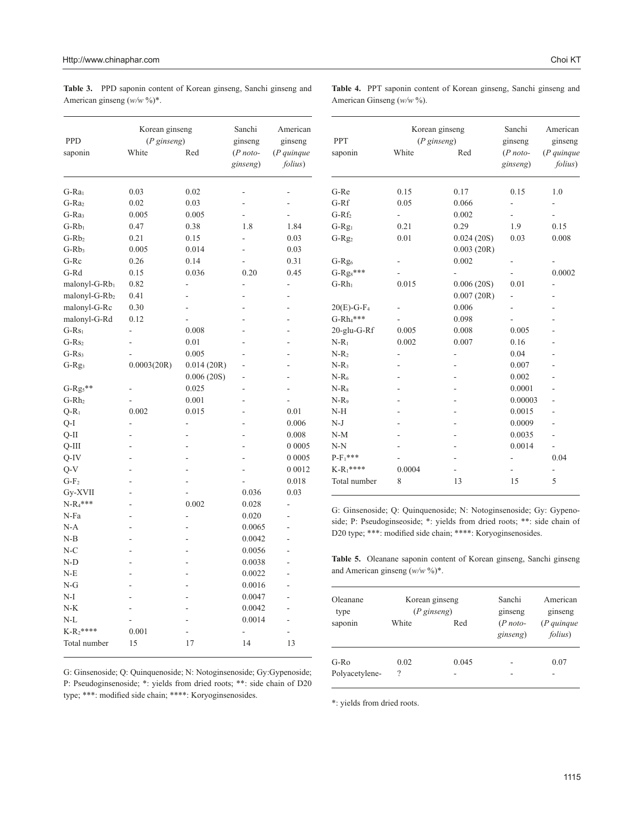**Table 3.** PPD saponin content of Korean ginseng, Sanchi ginseng and American ginseng  $(w/w \%)^*$ .

**Table 4.** PPT saponin content of Korean ginseng, Sanchi ginseng and American Ginseng (*w/w* %).

|                 | Korean ginseng |                | Sanchi                         | American                        |
|-----------------|----------------|----------------|--------------------------------|---------------------------------|
| <b>PPD</b>      | (P ginseng)    |                | ginseng                        | ginseng                         |
| saponin         | White          | Red            | $(P \text{ noto-}$<br>ginseng) | $(P$ quinque<br><i>folius</i> ) |
| $G-Ra_1$        | 0.03           | 0.02           | $\overline{a}$                 |                                 |
| $G-Ra2$         | 0.02           | 0.03           | L,                             |                                 |
| $G-Ra3$         | 0.005          | 0.005          |                                |                                 |
| $G-Rb1$         | 0.47           | 0.38           | 1.8                            | 1.84                            |
| $G-Rb2$         | 0.21           | 0.15           | L,                             | 0.03                            |
| $G-Rb$          | 0.005          | 0.014          | L.                             | 0.03                            |
| G-Rc            | 0.26           | 0.14           |                                | 0.31                            |
| G-Rd            | 0.15           | 0.036          | 0.20                           | 0.45                            |
| malonyl-G-Rb1   | 0.82           | $\overline{a}$ |                                | $\overline{a}$                  |
| $malonyl-G-Rb2$ | 0.41           |                |                                |                                 |
| malonyl-G-Rc    | 0.30           | $\overline{a}$ |                                | $\overline{a}$                  |
| malonyl-G-Rd    | 0.12           |                |                                |                                 |
| $G-Rs_1$        | L,             | 0.008          |                                |                                 |
| $G-Rs2$         | L              | 0.01           |                                |                                 |
| $G-Rs3$         |                | 0.005          |                                |                                 |
| $G-Rg3$         | 0.0003(20R)    | 0.014(20R)     |                                |                                 |
|                 |                | 0.006(20S)     | ÷.                             |                                 |
| $G-Rg5**$       |                | 0.025          |                                |                                 |
| $G-Rh2$         |                | 0.001          |                                |                                 |
| $Q-R_1$         | 0.002          | 0.015          |                                | 0.01                            |
| Q-I             | $\overline{a}$ | $\overline{a}$ |                                | 0.006                           |
| Q-II            | L              | $\overline{a}$ |                                | 0.008                           |
| Q-III           |                |                |                                | 0 0 0 0 5                       |
| Q-IV            |                |                |                                | 0 0 0 0 5                       |
| $Q-V$           |                |                |                                | 0 0 0 1 2                       |
| $G-F2$          |                |                |                                | 0.018                           |
| Gy-XVII         |                |                | 0.036                          | 0.03                            |
| $N - R_4$ ***   | ÷              | 0.002          | 0.028                          | $\overline{a}$                  |
| N-Fa            |                |                | 0.020                          |                                 |
| $N-A$           |                |                | 0.0065                         |                                 |
| $N-B$           |                |                | 0.0042                         |                                 |
| N-C             |                |                | 0.0056                         |                                 |
| $N-D$           |                |                | 0.0038                         | $\overline{a}$                  |
| $N-E$           |                |                | 0.0022                         |                                 |
| $N-G$           |                |                | 0.0016                         |                                 |
| $N-I$           |                |                | 0.0047                         |                                 |
| $N-K$           |                |                | 0.0042                         |                                 |
| $N-L$           |                |                | 0.0014                         |                                 |
| $K-R_2$ ****    | 0.001          |                |                                |                                 |
| Total number    | 15             | 17             | 14                             | 13                              |

|                           |                                       | Korean ginseng | Sanchi                         | American                      |
|---------------------------|---------------------------------------|----------------|--------------------------------|-------------------------------|
| PPT                       | $(P \text{ ginseng})$<br>White<br>Red |                | ginseng                        | ginseng                       |
| saponin                   |                                       |                | $(P \text{ noto-}$<br>ginseng) | (P quinque<br><i>folius</i> ) |
|                           |                                       |                |                                |                               |
| G-Re                      | 0.15                                  | 0.17           | 0.15                           | 1.0                           |
| $G-Rf$                    | 0.05                                  | 0.066          |                                |                               |
| $G-Rf2$                   | $\overline{\phantom{0}}$              | 0.002          |                                |                               |
| $G-Rg_1$                  | 0.21                                  | 0.29           | 1.9                            | 0.15                          |
| $G-Rg2$                   | 0.01                                  | 0.024(20S)     | 0.03                           | 0.008                         |
|                           |                                       | 0.003(20R)     |                                |                               |
| $G-Rg6$                   |                                       | 0.002          |                                |                               |
| $G-Rg_8$ ***              |                                       |                |                                | 0.0002                        |
| $G-Rh_1$                  | 0.015                                 | 0.006(20S)     | 0.01                           |                               |
|                           |                                       | 0.007(20R)     |                                |                               |
| $20(E)$ -G-F <sub>4</sub> |                                       | 0.006          |                                |                               |
| $G-Rh_4***$               |                                       | 0.098          |                                |                               |
| $20$ -glu-G-Rf            | 0.005                                 | 0.008          | 0.005                          |                               |
| $N-R_1$                   | 0.002                                 | 0.007          | 0.16                           |                               |
| $N-R2$                    |                                       |                | 0.04                           |                               |
| $N-R_3$                   |                                       |                | 0.007                          |                               |
| $N-R6$                    |                                       |                | 0.002                          |                               |
| $N-R_8$                   |                                       |                | 0.0001                         |                               |
| $N-R9$                    |                                       |                | 0.00003                        | $\overline{a}$                |
| $N-H$                     |                                       |                | 0.0015                         |                               |
| $N-J$                     |                                       |                | 0.0009                         |                               |
| $N-M$                     |                                       |                | 0.0035                         | $\overline{\phantom{0}}$      |
| $N-N$                     |                                       |                | 0.0014                         |                               |
| $P-F_1***$                |                                       |                | $\overline{a}$                 | 0.04                          |
| $K-R_1***$                | 0.0004                                |                |                                |                               |
| Total number              | 8                                     | 13             | 15                             | 5                             |

G: Ginsenoside; Q: Quinquenoside; N: Notoginsenoside; Gy: Gypenoside; P: Pseudoginseoside; \*: yields from dried roots; \*\*: side chain of D20 type; \*\*\*: modified side chain; \*\*\*\*: Koryoginsenosides.

**Table 5.** Oleanane saponin content of Korean ginseng, Sanchi ginseng and American ginseng (*w/w* %)\*.

| Oleanane<br>type | Korean ginseng<br>$(P \text{ ginseng})$ |       | Sanchi<br>ginseng              | American<br>ginseng             |
|------------------|-----------------------------------------|-------|--------------------------------|---------------------------------|
| saponin          | White                                   | Red   | $(P \text{ noto-}$<br>ginseng) | $(P$ quinque<br><i>folius</i> ) |
| G-Ro             | 0.02                                    | 0.045 |                                | 0.07                            |
| Polyacetylene-   | ?                                       |       | -                              |                                 |

G: Ginsenoside; Q: Quinquenoside; N: Notoginsenoside; Gy:Gypenoside; P: Pseudoginsenoside; \*: yields from dried roots; \*\*: side chain of D20 type; \*\*\*: modified side chain; \*\*\*\*: Koryoginsenosides.

\*: yields from dried roots.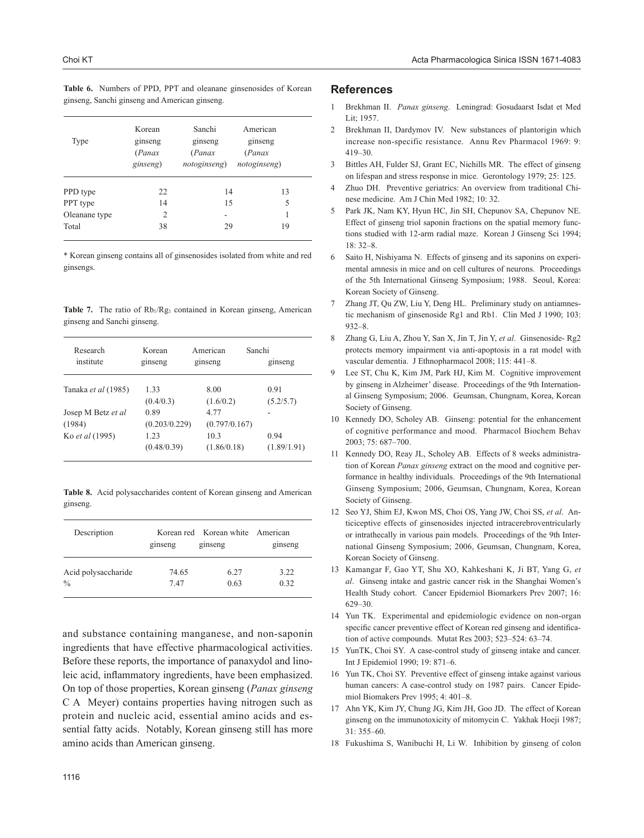| Type          | Korean<br>ginseng<br>(Panax<br>ginseng) | Sanchi<br>ginseng<br>(Panax<br>notoginseng) | American<br>ginseng<br>(Panax<br>notoginseng) |
|---------------|-----------------------------------------|---------------------------------------------|-----------------------------------------------|
| PPD type      | 22                                      | 14                                          | 13                                            |
| PPT type      | 14                                      | 15                                          | 5                                             |
| Oleanane type | $\overline{c}$                          |                                             |                                               |
| Total         | 38                                      | 29                                          | 19                                            |

**Table 6.** Numbers of PPD, PPT and oleanane ginsenosides of Korean ginseng, Sanchi ginseng and American ginseng.

\* Korean ginseng contains all of ginsenosides isolated from white and red ginsengs.

Table 7. The ratio of Rb<sub>1</sub>/Rg<sub>1</sub> contained in Korean ginseng, American ginseng and Sanchi ginseng.

| Research<br>institute | Korean<br>ginseng | American<br>ginseng | Sanchi<br>ginseng |
|-----------------------|-------------------|---------------------|-------------------|
| Tanaka et al (1985)   | 1.33              | 8.00                | 0.91              |
|                       | (0.4/0.3)         | (1.6/0.2)           | (5.2/5.7)         |
| Josep M Betz et al    | 0.89              | 4 77                |                   |
| (1984)                | (0.203/0.229)     | (0.797/0.167)       |                   |
| Ko et al (1995)       | 1 23              | 103                 | 0.94              |
|                       | (0.48/0.39)       | (1.86/0.18)         | (1.89/1.91)       |

**Table 8.** Acid polysaccharides content of Korean ginseng and American ginseng.

| Description         | ginseng | Korean red Korean white American<br>ginseng | ginseng |
|---------------------|---------|---------------------------------------------|---------|
| Acid polysaccharide | 74.65   | 6.27                                        | 3.22    |
| $\frac{0}{0}$       | 7.47    | 0.63                                        | 0.32    |

and substance containing manganese, and non-saponin ingredients that have effective pharmacological activities. Before these reports, the importance of panaxydol and linoleic acid, inflammatory ingredients, have been emphasized. On top of those properties, Korean ginseng (*Panax ginseng* C A Meyer) contains properties having nitrogen such as protein and nucleic acid, essential amino acids and essential fatty acids. Notably, Korean ginseng still has more amino acids than American ginseng.

#### **References**

- 1 Brekhman II. *Panax ginseng*. Leningrad: Gosudaarst Isdat et Med Lit; 1957.
- 2 Brekhman II, Dardymov IV. New substances of plantorigin which increase non-specific resistance. Annu Rev Pharmacol 1969: 9: 419–30.
- 3 Bittles AH, Fulder SJ, Grant EC, Nichills MR. The effect of ginseng on lifespan and stress response in mice. Gerontology 1979; 25: 125.
- 4 Zhuo DH. Preventive geriatrics: An overview from traditional Chinese medicine. Am J Chin Med 1982; 10: 32.
- 5 Park JK, Nam KY, Hyun HC, Jin SH, Chepunov SA, Chepunov NE. Effect of ginseng triol saponin fractions on the spatial memory functions studied with 12-arm radial maze. Korean J Ginseng Sci 1994; 18: 32–8.
- 6 Saito H, Nishiyama N. Effects of ginseng and its saponins on experimental amnesis in mice and on cell cultures of neurons. Proceedings of the 5th International Ginseng Symposium; 1988. Seoul, Korea: Korean Society of Ginseng.
- 7 Zhang JT, Qu ZW, Liu Y, Deng HL. Preliminary study on antiamnestic mechanism of ginsenoside Rg1 and Rb1. Clin Med J 1990; 103: 932–8.
- 8 Zhang G, Liu A, Zhou Y, San X, Jin T, Jin Y, *et al*. Ginsenoside- Rg2 protects memory impairment via anti-apoptosis in a rat model with vascular dementia. J Ethnopharmacol 2008; 115: 441–8.
- 9 Lee ST, Chu K, Kim JM, Park HJ, Kim M. Cognitive improvement by ginseng in Alzheimer' disease. Proceedings of the 9th International Ginseng Symposium; 2006. Geumsan, Chungnam, Korea, Korean Society of Ginseng.
- 10 Kennedy DO, Scholey AB. Ginseng: potential for the enhancement of cognitive performance and mood. Pharmacol Biochem Behav 2003; 75: 687–700.
- 11 Kennedy DO, Reay JL, Scholey AB. Effects of 8 weeks administration of Korean *Panax ginseng* extract on the mood and cognitive performance in healthy individuals. Proceedings of the 9th International Ginseng Symposium; 2006, Geumsan, Chungnam, Korea, Korean Society of Ginseng.
- 12 Seo YJ, Shim EJ, Kwon MS, Choi OS, Yang JW, Choi SS, *et al*. Anticiceptive effects of ginsenosides injected intracerebroventricularly or intrathecally in various pain models. Proceedings of the 9th International Ginseng Symposium; 2006, Geumsan, Chungnam, Korea, Korean Society of Ginseng.
- 13 Kamangar F, Gao YT, Shu XO, Kahkeshani K, Ji BT, Yang G, *et al*. Ginseng intake and gastric cancer risk in the Shanghai Women's Health Study cohort. Cancer Epidemiol Biomarkers Prev 2007; 16: 629–30.
- 14 Yun TK. Experimental and epidemiologic evidence on non-organ specific cancer preventive effect of Korean red ginseng and identification of active compounds. Mutat Res 2003; 523–524: 63–74.
- 15 YunTK, Choi SY. A case-control study of ginseng intake and cancer. Int J Epidemiol 1990; 19: 871–6.
- 16 Yun TK, Choi SY. Preventive effect of ginseng intake against various human cancers: A case-control study on 1987 pairs. Cancer Epidemiol Biomakers Prev 1995; 4: 401–8.
- 17 Ahn YK, Kim JY, Chung JG, Kim JH, Goo JD. The effect of Korean ginseng on the immunotoxicity of mitomycin C. Yakhak Hoeji 1987; 31: 355–60.
- 18 Fukushima S, Wanibuchi H, Li W. Inhibition by ginseng of colon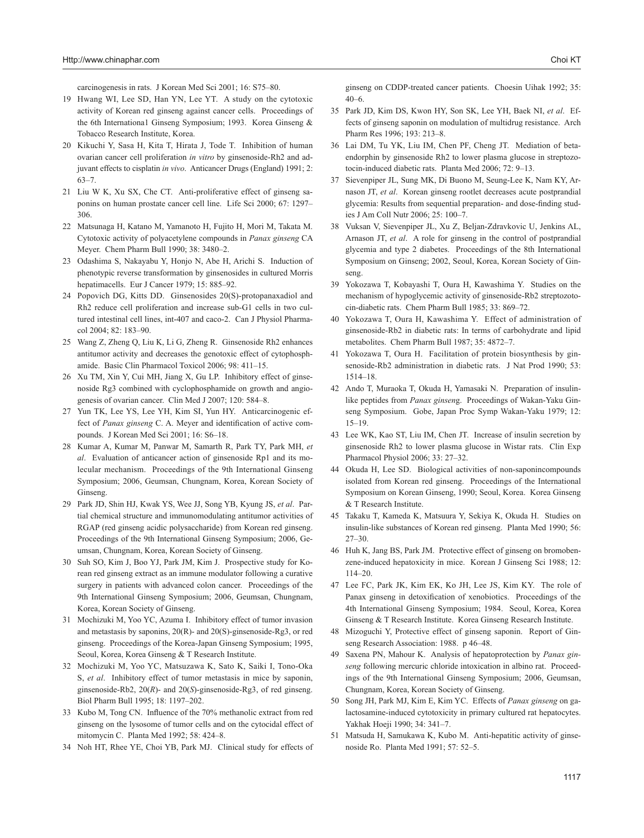carcinogenesis in rats. J Korean Med Sci 2001; 16: S75–80.

- 19 Hwang WI, Lee SD, Han YN, Lee YT. A study on the cytotoxic activity of Korean red ginseng against cancer cells. Proceedings of the 6th Internationa1 Ginseng Symposium; 1993. Korea Ginseng & Tobacco Research Institute, Korea.
- 20 Kikuchi Y, Sasa H, Kita T, Hirata J, Tode T. Inhibition of human ovarian cancer cell proliferation *in vitro* by ginsenoside-Rh2 and adjuvant effects to cisplatin *in vivo*. Anticancer Drugs (England) 1991; 2: 63–7.
- 21 Liu W K, Xu SX, Che CT. Anti-proliferative effect of ginseng saponins on human prostate cancer cell line. Life Sci 2000; 67: 1297– 306.
- 22 Matsunaga H, Katano M, Yamanoto H, Fujito H, Mori M, Takata M. Cytotoxic activity of polyacetylene compounds in *Panax ginseng* CA Meyer. Chem Pharm Bull 1990; 38: 3480–2.
- 23 Odashima S, Nakayabu Y, Honjo N, Abe H, Arichi S. Induction of phenotypic reverse transformation by ginsenosides in cultured Morris hepatimacells. Eur J Cancer 1979; 15: 885–92.
- 24 Popovich DG, Kitts DD. Ginsenosides 20(S)-protopanaxadiol and Rh2 reduce cell proliferation and increase sub-G1 cells in two cultured intestinal cell lines, int-407 and caco-2. Can J Physiol Pharmacol 2004; 82: 183–90.
- 25 Wang Z, Zheng Q, Liu K, Li G, Zheng R. Ginsenoside Rh2 enhances antitumor activity and decreases the genotoxic effect of cytophosphamide. Basic Clin Pharmacol Toxicol 2006; 98: 411–15.
- 26 Xu TM, Xin Y, Cui MH, Jiang X, Gu LP. Inhibitory effect of ginsenoside Rg3 combined with cyclophosphamide on growth and angiogenesis of ovarian cancer. Clin Med J 2007; 120: 584–8.
- 27 Yun TK, Lee YS, Lee YH, Kim SI, Yun HY. Anticarcinogenic effect of *Panax ginseng* C. A. Meyer and identification of active compounds. J Korean Med Sci 2001; 16: S6–18.
- 28 Kumar A, Kumar M, Panwar M, Samarth R, Park TY, Park MH, *et al*. Evaluation of anticancer action of ginsenoside Rp1 and its molecular mechanism. Proceedings of the 9th International Ginseng Symposium; 2006, Geumsan, Chungnam, Korea, Korean Society of Ginseng.
- 29 Park JD, Shin HJ, Kwak YS, Wee JJ, Song YB, Kyung JS, *et al*. Partial chemical structure and immunomodulating antitumor activities of RGAP (red ginseng acidic polysaccharide) from Korean red ginseng. Proceedings of the 9th International Ginseng Symposium; 2006, Geumsan, Chungnam, Korea, Korean Society of Ginseng.
- 30 Suh SO, Kim J, Boo YJ, Park JM, Kim J. Prospective study for Korean red ginseng extract as an immune modulator following a curative surgery in patients with advanced colon cancer. Proceedings of the 9th International Ginseng Symposium; 2006, Geumsan, Chungnam, Korea, Korean Society of Ginseng.
- 31 Mochizuki M, Yoo YC, Azuma I. Inhibitory effect of tumor invasion and metastasis by saponins, 20(R)- and 20(S)-ginsenoside-Rg3, or red ginseng. Proceedings of the Korea-Japan Ginseng Symposium; 1995, Seoul, Korea, Korea Ginseng & T Research Institute.
- 32 Mochizuki M, Yoo YC, Matsuzawa K, Sato K, Saiki I, Tono-Oka S, *et al*. Inhibitory effect of tumor metastasis in mice by saponin, ginsenoside-Rb2, 20(*R*)- and 20(*S*)-ginsenoside-Rg3, of red ginseng. Biol Pharm Bull 1995; 18: 1197–202.
- 33 Kubo M, Tong CN. Influence of the 70% methanolic extract from red ginseng on the lysosome of tumor cells and on the cytocidal effect of mitomycin C. Planta Med 1992; 58: 424–8.
- 34 Noh HT, Rhee YE, Choi YB, Park MJ. Clinical study for effects of

ginseng on CDDP-treated cancer patients. Choesin Uihak 1992; 35: 40–6.

- 35 Park JD, Kim DS, Kwon HY, Son SK, Lee YH, Baek NI, *et al*. Effects of ginseng saponin on modulation of multidrug resistance. Arch Pharm Res 1996; 193: 213–8.
- 36 Lai DM, Tu YK, Liu IM, Chen PF, Cheng JT. Mediation of betaendorphin by ginsenoside Rh2 to lower plasma glucose in streptozotocin-induced diabetic rats. Planta Med 2006; 72: 9–13.
- 37 Sievenpiper JL, Sung MK, Di Buono M, Seung-Lee K, Nam KY, Arnason JT, *et al*. Korean ginseng rootlet decreases acute postprandial glycemia: Results from sequential preparation- and dose-finding studies J Am Coll Nutr 2006; 25: 100–7.
- 38 Vuksan V, Sievenpiper JL, Xu Z, Beljan-Zdravkovic U, Jenkins AL, Arnason JT, *et al*. A role for ginseng in the control of postprandial glycemia and type 2 diabetes. Proceedings of the 8th International Symposium on Ginseng; 2002, Seoul, Korea, Korean Society of Ginseng.
- 39 Yokozawa T, Kobayashi T, Oura H, Kawashima Y. Studies on the mechanism of hypoglycemic activity of ginsenoside-Rb2 streptozotocin-diabetic rats. Chem Pharm Bull 1985; 33: 869–72.
- 40 Yokozawa T, Oura H, Kawashima Y. Effect of administration of ginsenoside-Rb2 in diabetic rats: In terms of carbohydrate and lipid metabolites. Chem Pharm Bull 1987; 35: 4872–7.
- 41 Yokozawa T, Oura H. Facilitation of protein biosynthesis by ginsenoside-Rb2 administration in diabetic rats. J Nat Prod 1990; 53: 1514–18.
- 42 Ando T, Muraoka T, Okuda H, Yamasaki N. Preparation of insulinlike peptides from *Panax ginsen*g. Proceedings of Wakan-Yaku Ginseng Symposium. Gobe, Japan Proc Symp Wakan-Yaku 1979; 12: 15–19.
- 43 Lee WK, Kao ST, Liu IM, Chen JT. Increase of insulin secretion by ginsenoside Rh2 to lower plasma glucose in Wistar rats. Clin Exp Pharmacol Physiol 2006; 33: 27–32.
- 44 Okuda H, Lee SD. Biological activities of non-saponincompounds isolated from Korean red ginseng. Proceedings of the International Symposium on Korean Ginseng, 1990; Seoul, Korea. Korea Ginseng & T Research Institute.
- 45 Takaku T, Kameda K, Matsuura Y, Sekiya K, Okuda H. Studies on insulin-like substances of Korean red ginseng. Planta Med 1990; 56: 27–30.
- 46 Huh K, Jang BS, Park JM. Protective effect of ginseng on bromobenzene-induced hepatoxicity in mice. Korean J Ginseng Sci 1988; 12: 114–20.
- 47 Lee FC, Park JK, Kim EK, Ko JH, Lee JS, Kim KY. The role of Panax ginseng in detoxification of xenobiotics. Proceedings of the 4th International Ginseng Symposium; 1984. Seoul, Korea, Korea Ginseng & T Research Institute. Korea Ginseng Research Institute.
- 48 Mizoguchi Y, Protective effect of ginseng saponin. Report of Ginseng Research Association: 1988. p 46–48.
- 49 Saxena PN, Mahour K. Analysis of hepatoprotection by *Panax ginseng* following mercuric chloride intoxication in albino rat. Proceedings of the 9th International Ginseng Symposium; 2006, Geumsan, Chungnam, Korea, Korean Society of Ginseng.
- 50 Song JH, Park MJ, Kim E, Kim YC. Effects of *Panax ginseng* on galactosamine-induced cytotoxicity in primary cultured rat hepatocytes. Yakhak Hoeji 1990; 34: 341–7.
- 51 Matsuda H, Samukawa K, Kubo M. Anti-hepatitic activity of ginsenoside Ro. Planta Med 1991; 57: 52–5.